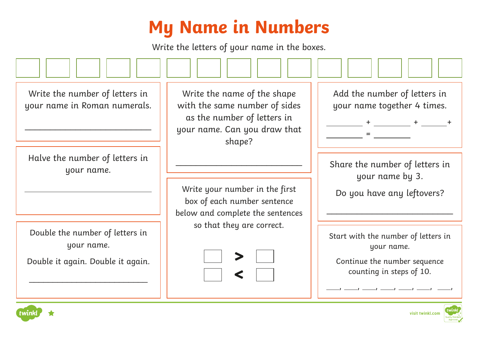## **My Name in Numbers**

Write the letters of your name in the boxes.

Write the number of letters in your name in Roman numerals. \_\_\_\_\_\_\_\_\_\_\_\_\_\_\_\_\_\_\_\_\_\_\_\_\_ Halve the number of letters in your name. Write the name of the shape with the same number of sides as the number of letters in your name. Can you draw that shape? \_\_\_\_\_\_\_\_\_\_\_\_\_\_\_\_\_\_\_\_\_\_\_\_\_ Write your number in the first box of each number sentence below and complete the sentences so that they are correct. Add the number of letters in your name together 4 times. + + + = Start with the number of letters in your name. Continue the number sequence counting in steps of 10. , , , , , , , Share the number of letters in your name by 3. Do you have any leftovers? \_\_\_\_\_\_\_\_\_\_\_\_\_\_\_\_\_\_\_\_\_\_\_\_\_ Double the number of letters in your name. Double it again. Double it again. \_\_\_\_\_\_\_\_\_\_\_\_\_\_\_\_\_\_\_\_\_\_\_\_\_ **> >visit twinkl.com**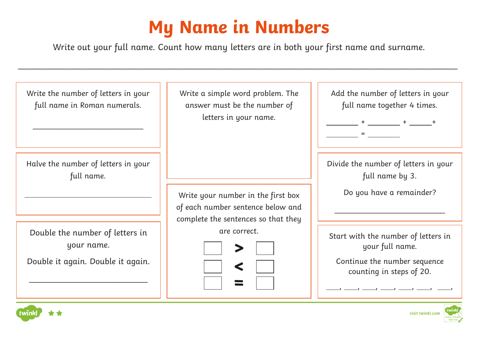## **My Name in Numbers**

Write out your full name. Count how many letters are in both your first name and surname.

\_\_\_\_\_\_\_\_\_\_\_\_\_\_\_\_\_\_\_\_\_\_\_\_\_\_\_\_\_\_\_\_\_\_\_\_\_\_\_\_\_\_\_\_\_\_\_\_\_\_\_\_\_\_\_\_\_\_\_\_\_\_\_\_\_\_\_\_\_\_\_\_\_\_\_\_\_\_\_\_\_\_\_\_\_\_\_

Write the number of letters in your full name in Roman numerals. \_\_\_\_\_\_\_\_\_\_\_\_\_\_\_\_\_\_\_\_\_\_\_\_\_ Halve the number of letters in your full name. Write a simple word problem. The answer must be the number of letters in your name. Write your number in the first box of each number sentence below and complete the sentences so that they are correct. Add the number of letters in your full name together 4 times.  $+$  +  $+$  +  $+$  +  $+$  = Start with the number of letters in your full name. Continue the number sequence counting in steps of 20. , , , , , , , Divide the number of letters in your full name by 3. Do you have a remainder? \_\_\_\_\_\_\_\_\_\_\_\_\_\_\_\_\_\_\_\_\_\_\_\_\_ Double the number of letters in your name. Double it again. Double it again. \_\_\_\_\_\_\_\_\_\_\_\_\_\_\_\_\_\_\_\_\_\_\_\_\_ **> >=**